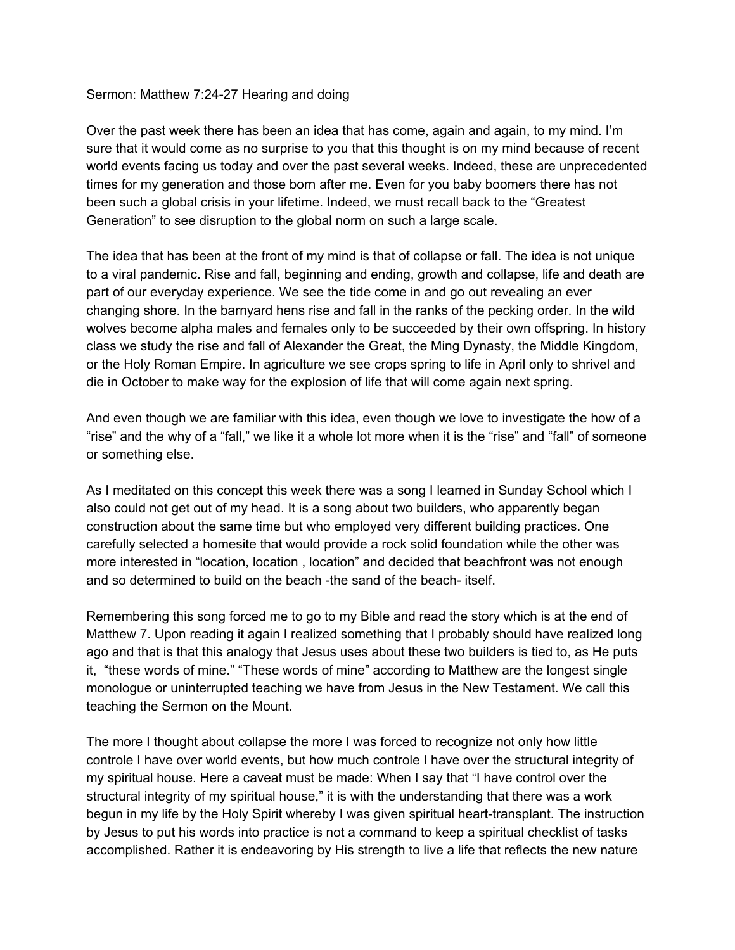#### Sermon: Matthew 7:24-27 Hearing and doing

Over the past week there has been an idea that has come, again and again, to my mind. I'm sure that it would come as no surprise to you that this thought is on my mind because of recent world events facing us today and over the past several weeks. Indeed, these are unprecedented times for my generation and those born after me. Even for you baby boomers there has not been such a global crisis in your lifetime. Indeed, we must recall back to the "Greatest Generation" to see disruption to the global norm on such a large scale.

The idea that has been at the front of my mind is that of collapse or fall. The idea is not unique to a viral pandemic. Rise and fall, beginning and ending, growth and collapse, life and death are part of our everyday experience. We see the tide come in and go out revealing an ever changing shore. In the barnyard hens rise and fall in the ranks of the pecking order. In the wild wolves become alpha males and females only to be succeeded by their own offspring. In history class we study the rise and fall of Alexander the Great, the Ming Dynasty, the Middle Kingdom, or the Holy Roman Empire. In agriculture we see crops spring to life in April only to shrivel and die in October to make way for the explosion of life that will come again next spring.

And even though we are familiar with this idea, even though we love to investigate the how of a "rise" and the why of a "fall," we like it a whole lot more when it is the "rise" and "fall" of someone or something else.

As I meditated on this concept this week there was a song I learned in Sunday School which I also could not get out of my head. It is a song about two builders, who apparently began construction about the same time but who employed very different building practices. One carefully selected a homesite that would provide a rock solid foundation while the other was more interested in "location, location , location" and decided that beachfront was not enough and so determined to build on the beach -the sand of the beach- itself.

Remembering this song forced me to go to my Bible and read the story which is at the end of Matthew 7. Upon reading it again I realized something that I probably should have realized long ago and that is that this analogy that Jesus uses about these two builders is tied to, as He puts it, "these words of mine." "These words of mine" according to Matthew are the longest single monologue or uninterrupted teaching we have from Jesus in the New Testament. We call this teaching the Sermon on the Mount.

The more I thought about collapse the more I was forced to recognize not only how little controle I have over world events, but how much controle I have over the structural integrity of my spiritual house. Here a caveat must be made: When I say that "I have control over the structural integrity of my spiritual house," it is with the understanding that there was a work begun in my life by the Holy Spirit whereby I was given spiritual heart-transplant. The instruction by Jesus to put his words into practice is not a command to keep a spiritual checklist of tasks accomplished. Rather it is endeavoring by His strength to live a life that reflects the new nature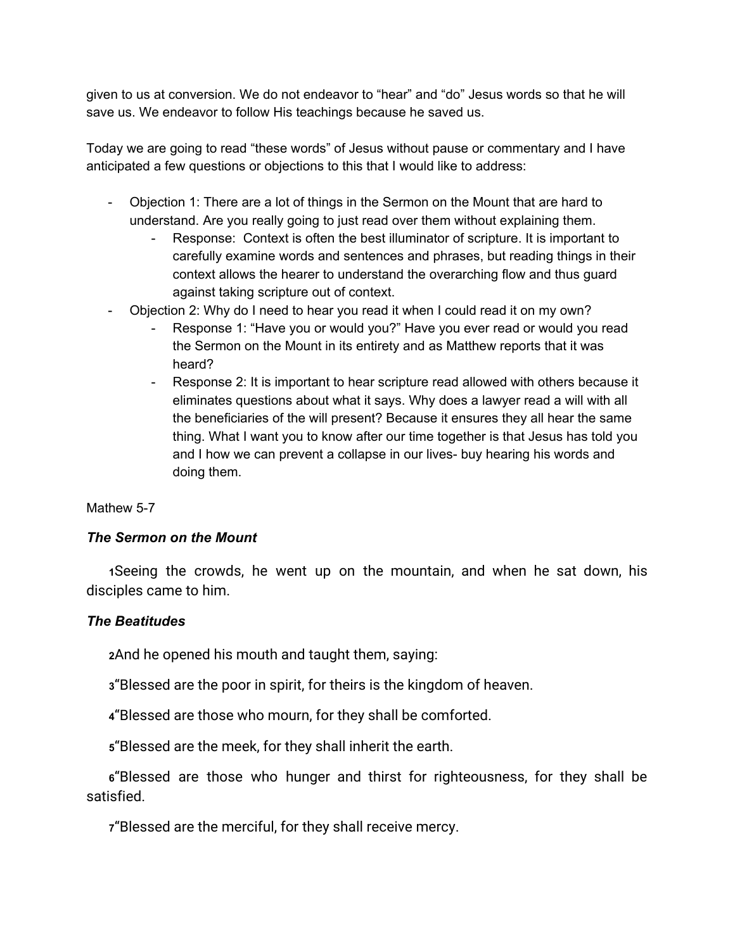given to us at conversion. We do not endeavor to "hear" and "do" Jesus words so that he will save us. We endeavor to follow His teachings because he saved us.

Today we are going to read "these words" of Jesus without pause or commentary and I have anticipated a few questions or objections to this that I would like to address:

- Objection 1: There are a lot of things in the Sermon on the Mount that are hard to understand. Are you really going to just read over them without explaining them.
	- Response: Context is often the best illuminator of scripture. It is important to carefully examine words and sentences and phrases, but reading things in their context allows the hearer to understand the overarching flow and thus guard against taking scripture out of context.
- Objection 2: Why do I need to hear you read it when I could read it on my own?
	- Response 1: "Have you or would you?" Have you ever read or would you read the Sermon on the Mount in its entirety and as Matthew reports that it was heard?
	- Response 2: It is important to hear scripture read allowed with others because it eliminates questions about what it says. Why does a lawyer read a will with all the beneficiaries of the will present? Because it ensures they all hear the same thing. What I want you to know after our time together is that Jesus has told you and I how we can prevent a collapse in our lives- buy hearing his words and doing them.

#### Mathew 5-7

#### *The Sermon on the Mount*

**[1](http://biblehub.com/matthew/5-1.htm)**Seeing the crowds, he went up on the mountain, and when he sat down, his disciples came to him.

#### *The Beatitudes*

**[2](http://biblehub.com/matthew/5-2.htm)**And he opened his mouth and taught them, saying:

**[3](http://biblehub.com/matthew/5-3.htm)**"Blessed are the poor in spirit, for theirs is the kingdom of heaven.

**[4](http://biblehub.com/matthew/5-4.htm)**"Blessed are those who mourn, for they shall be comforted.

**[5](http://biblehub.com/matthew/5-5.htm)**"Blessed are the meek, for they shall inherit the earth.

**[6](http://biblehub.com/matthew/5-6.htm)**"Blessed are those who hunger and thirst for righteousness, for they shall be satisfied.

**[7](http://biblehub.com/matthew/5-7.htm)**"Blessed are the merciful, for they shall receive mercy.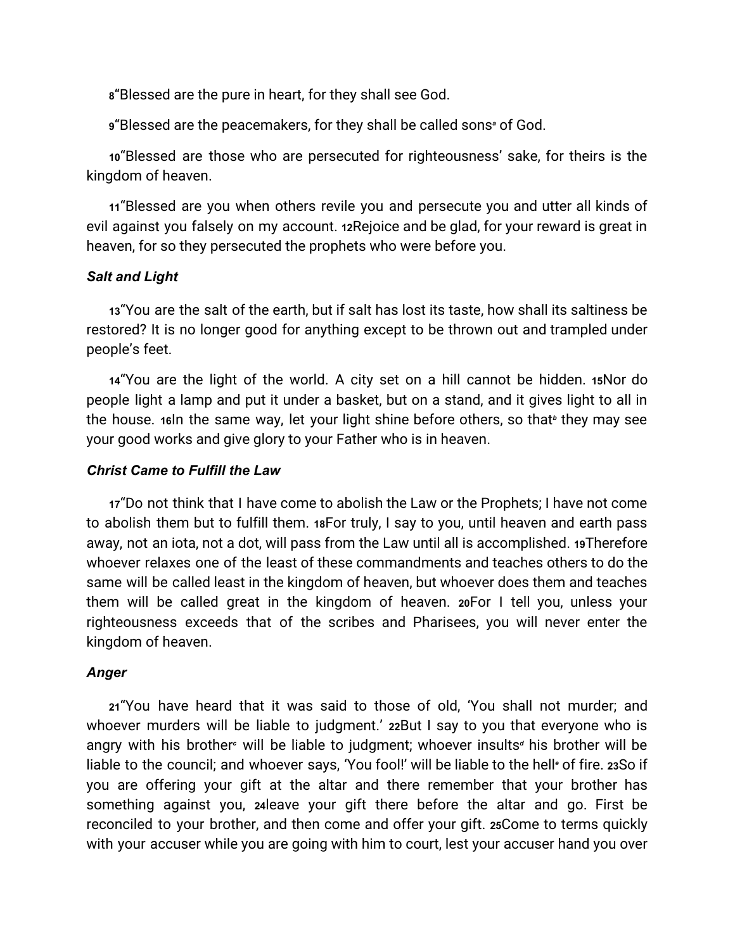**[8](http://biblehub.com/matthew/5-8.htm)**"Blessed are the pure in heart, for they shall see God.

**[9](http://biblehub.com/matthew/5-9.htm)**"Blessed are the peacemakers, for they shall be called sons*[a](https://biblehub.com/esv/matthew/5.htm#footnotes)* of God.

**[10](http://biblehub.com/matthew/5-10.htm)**"Blessed are those who are persecuted for righteousness' sake, for theirs is the kingdom of heaven.

**[11](http://biblehub.com/matthew/5-11.htm)**"Blessed are you when others revile you and persecute you and utter all kinds of evil against you falsely on my account. **[12](http://biblehub.com/matthew/5-12.htm)**Rejoice and be glad, for your reward is great in heaven, for so they persecuted the prophets who were before you.

#### *Salt and Light*

**[13](http://biblehub.com/matthew/5-13.htm)**"You are the salt of the earth, but if salt has lost its taste, how shall its saltiness be restored? It is no longer good for anything except to be thrown out and trampled under people's feet.

**[14](http://biblehub.com/matthew/5-14.htm)**"You are the light of the world. A city set on a hill cannot be hidden. **[15](http://biblehub.com/matthew/5-15.htm)**Nor do people light a lamp and put it under a basket, but on a stand, and it gives light to all in the house. [16](http://biblehub.com/matthew/5-16.htm)In the same way, let your light shine [b](https://biblehub.com/esv/matthew/5.htm#footnotes)efore others, so that<sup>6</sup> they may see your good works and give glory to your Father who is in heaven.

#### *Christ Came to Fulfill the Law*

**[17](http://biblehub.com/matthew/5-17.htm)**"Do not think that I have come to abolish the Law or the Prophets; I have not come to abolish them but to fulfill them. **[18](http://biblehub.com/matthew/5-18.htm)**For truly, I say to you, until heaven and earth pass away, not an iota, not a dot, will pass from the Law until all is accomplished. **[19](http://biblehub.com/matthew/5-19.htm)**Therefore whoever relaxes one of the least of these commandments and teaches others to do the same will be called least in the kingdom of heaven, but whoever does them and teaches them will be called great in the kingdom of heaven. **[20](http://biblehub.com/matthew/5-20.htm)**For I tell you, unless your righteousness exceeds that of the scribes and Pharisees, you will never enter the kingdom of heaven.

# *Anger*

**[21](http://biblehub.com/matthew/5-21.htm)**"You have heard that it was said to those of old, 'You shall not murder; and whoever murders will be liable to judgment.' **[22](http://biblehub.com/matthew/5-22.htm)**But I say to you that everyone who is angry with his brother*[c](https://biblehub.com/esv/matthew/5.htm#footnotes)* will be liable to judgment; whoever insults*[d](https://biblehub.com/esv/matthew/5.htm#footnotes)* his brother will be liable to the council; and whoever says, 'You fool!' will be liable to the hell*[e](https://biblehub.com/esv/matthew/5.htm#footnotes)* of fire. **[23](http://biblehub.com/matthew/5-23.htm)**So if you are offering your gift at the altar and there remember that your brother has something against you, **[24](http://biblehub.com/matthew/5-24.htm)**leave your gift there before the altar and go. First be reconciled to your brother, and then come and offer your gift. **[25](http://biblehub.com/matthew/5-25.htm)**Come to terms quickly with your accuser while you are going with him to court, lest your accuser hand you over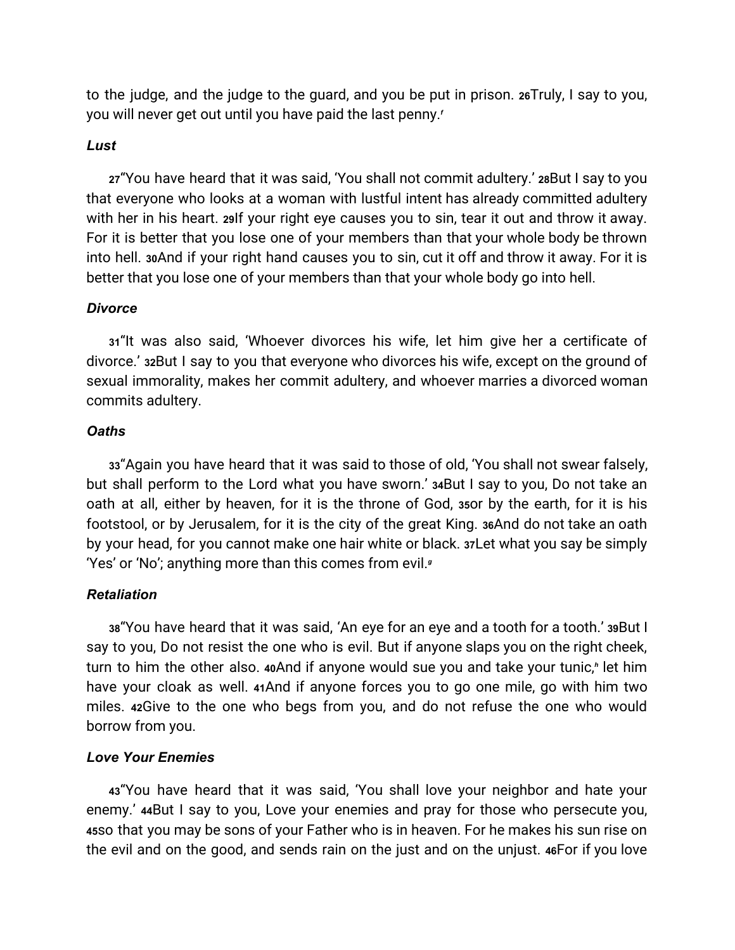to the judge, and the judge to the guard, and you be put in prison. **[26](http://biblehub.com/matthew/5-26.htm)**Truly, I say to you, you will never get out until you have paid the last penny.*[f](https://biblehub.com/esv/matthew/5.htm#footnotes)*

#### *Lust*

**[27](http://biblehub.com/matthew/5-27.htm)**"You have heard that it was said, 'You shall not commit adultery.' **[28](http://biblehub.com/matthew/5-28.htm)**But I say to you that everyone who looks at a woman with lustful intent has already committed adultery with her in his heart. **[29](http://biblehub.com/matthew/5-29.htm)**If your right eye causes you to sin, tear it out and throw it away. For it is better that you lose one of your members than that your whole body be thrown into hell. **[30](http://biblehub.com/matthew/5-30.htm)**And if your right hand causes you to sin, cut it off and throw it away. For it is better that you lose one of your members than that your whole body go into hell.

#### *Divorce*

**[31](http://biblehub.com/matthew/5-31.htm)**"It was also said, 'Whoever divorces his wife, let him give her a certificate of divorce.' **[32](http://biblehub.com/matthew/5-32.htm)**But I say to you that everyone who divorces his wife, except on the ground of sexual immorality, makes her commit adultery, and whoever marries a divorced woman commits adultery.

#### *Oaths*

**[33](http://biblehub.com/matthew/5-33.htm)**"Again you have heard that it was said to those of old, 'You shall not swear falsely, but shall perform to the Lord what you have sworn.' **[34](http://biblehub.com/matthew/5-34.htm)**But I say to you, Do not take an oath at all, either by heaven, for it is the throne of God, **[35](http://biblehub.com/matthew/5-35.htm)**or by the earth, for it is his footstool, or by Jerusalem, for it is the city of the great King. **[36](http://biblehub.com/matthew/5-36.htm)**And do not take an oath by your head, for you cannot make one hair white or black. **[37](http://biblehub.com/matthew/5-37.htm)**Let what you say be simply 'Yes' or 'No'; anything more than this comes from evil.*[g](https://biblehub.com/esv/matthew/5.htm#footnotes)*

#### *Retaliation*

**[38](http://biblehub.com/matthew/5-38.htm)**"You have heard that it was said, 'An eye for an eye and a tooth for a tooth.' **[39](http://biblehub.com/matthew/5-39.htm)**But I say to you, Do not resist the one who is evil. But if anyone slaps you on the right cheek, turn to him the other also. **[40](http://biblehub.com/matthew/5-40.htm)**And if anyone would sue you and take your tunic,*[h](https://biblehub.com/esv/matthew/5.htm#footnotes)* let him have your cloak as well. **[41](http://biblehub.com/matthew/5-41.htm)**And if anyone forces you to go one mile, go with him two miles. **[42](http://biblehub.com/matthew/5-42.htm)**Give to the one who begs from you, and do not refuse the one who would borrow from you.

#### *Love Your Enemies*

**[43](http://biblehub.com/matthew/5-43.htm)**"You have heard that it was said, 'You shall love your neighbor and hate your enemy.' **[44](http://biblehub.com/matthew/5-44.htm)**But I say to you, Love your enemies and pray for those who persecute you, **[45](http://biblehub.com/matthew/5-45.htm)**so that you may be sons of your Father who is in heaven. For he makes his sun rise on the evil and on the good, and sends rain on the just and on the unjust. **[46](http://biblehub.com/matthew/5-46.htm)**For if you love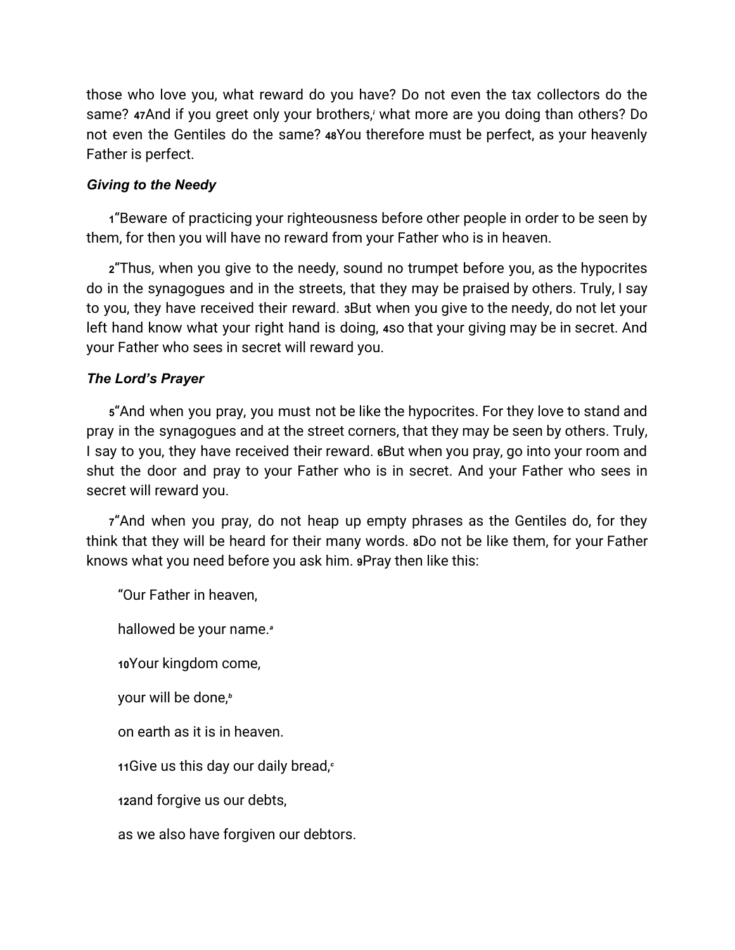those who love you, what reward do you have? Do not even the tax collectors do the same? **[47](http://biblehub.com/matthew/5-47.htm)**And if you greet only your brothers[,](https://biblehub.com/esv/matthew/5.htm#footnotes)*<sup>i</sup>* what more are you doing than others? Do not even the Gentiles do the same? **[48](http://biblehub.com/matthew/5-48.htm)**You therefore must be perfect, as your heavenly Father is perfect.

## *Giving to the Needy*

**[1](http://biblehub.com/matthew/6-1.htm)**"Beware of practicing your righteousness before other people in order to be seen by them, for then you will have no reward from your Father who is in heaven.

**[2](http://biblehub.com/matthew/6-2.htm)**"Thus, when you give to the needy, sound no trumpet before you, as the hypocrites do in the synagogues and in the streets, that they may be praised by others. Truly, I say to you, they have received their reward. **[3](http://biblehub.com/matthew/6-3.htm)**But when you give to the needy, do not let your left hand know what your right hand is doing, **[4](http://biblehub.com/matthew/6-4.htm)**so that your giving may be in secret. And your Father who sees in secret will reward you.

## *The Lord's Prayer*

**[5](http://biblehub.com/matthew/6-5.htm)**"And when you pray, you must not be like the hypocrites. For they love to stand and pray in the synagogues and at the street corners, that they may be seen by others. Truly, I say to you, they have received their reward. **[6](http://biblehub.com/matthew/6-6.htm)**But when you pray, go into your room and shut the door and pray to your Father who is in secret. And your Father who sees in secret will reward you.

**[7](http://biblehub.com/matthew/6-7.htm)**"And when you pray, do not heap up empty phrases as the Gentiles do, for they think that they will be heard for their many words. **[8](http://biblehub.com/matthew/6-8.htm)**Do not be like them, for your Father knows what you need before you ask him. **[9](http://biblehub.com/matthew/6-9.htm)**Pray then like this:

"Our Father in heaven,

hallowed be your name.*[a](https://biblehub.com/esv/matthew/6.htm#footnotes)*

**[10](http://biblehub.com/matthew/6-10.htm)**Your kingdom come,

your will be done,*[b](https://biblehub.com/esv/matthew/6.htm#footnotes)*

on earth as it is in heaven.

**[11](http://biblehub.com/matthew/6-11.htm)**Give us this day our daily bread,*[c](https://biblehub.com/esv/matthew/6.htm#footnotes)*

**[12](http://biblehub.com/matthew/6-12.htm)**and forgive us our debts,

as we also have forgiven our debtors.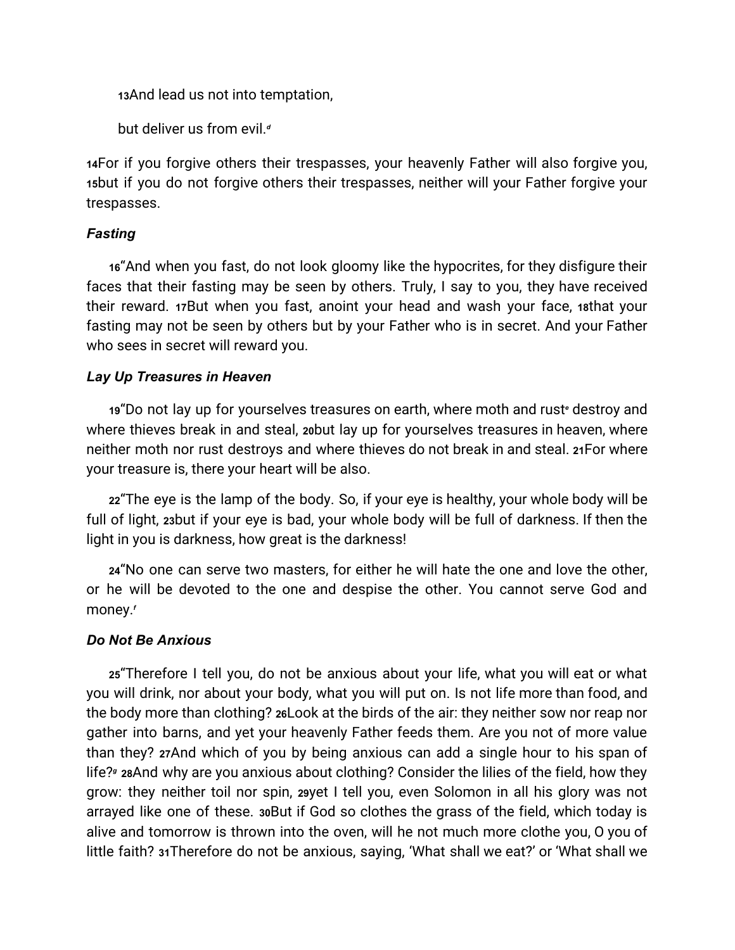**[13](http://biblehub.com/matthew/6-13.htm)**And lead us not into temptation,

but deliver us from evil.*[d](https://biblehub.com/esv/matthew/6.htm#footnotes)*

**[14](http://biblehub.com/matthew/6-14.htm)**For if you forgive others their trespasses, your heavenly Father will also forgive you, **[15](http://biblehub.com/matthew/6-15.htm)**but if you do not forgive others their trespasses, neither will your Father forgive your trespasses.

## *Fasting*

**[16](http://biblehub.com/matthew/6-16.htm)**"And when you fast, do not look gloomy like the hypocrites, for they disfigure their faces that their fasting may be seen by others. Truly, I say to you, they have received their reward. **[17](http://biblehub.com/matthew/6-17.htm)**But when you fast, anoint your head and wash your face, **[18](http://biblehub.com/matthew/6-18.htm)**that your fasting may not be seen by others but by your Father who is in secret. And your Father who sees in secret will reward you.

## *Lay Up Treasures in Heaven*

**[19](http://biblehub.com/matthew/6-19.htm)**"Do not lay up for yourselves treasures on earth, where moth and rust*[e](https://biblehub.com/esv/matthew/6.htm#footnotes)* destroy and where thieves break in and steal, **[20](http://biblehub.com/matthew/6-20.htm)**but lay up for yourselves treasures in heaven, where neither moth nor rust destroys and where thieves do not break in and steal. **[21](http://biblehub.com/matthew/6-21.htm)**For where your treasure is, there your heart will be also.

**[22](http://biblehub.com/matthew/6-22.htm)**"The eye is the lamp of the body. So, if your eye is healthy, your whole body will be full of light, **[23](http://biblehub.com/matthew/6-23.htm)**but if your eye is bad, your whole body will be full of darkness. If then the light in you is darkness, how great is the darkness!

**[24](http://biblehub.com/matthew/6-24.htm)**"No one can serve two masters, for either he will hate the one and love the other, or he will be devoted to the one and despise the other. You cannot serve God and money.*[f](https://biblehub.com/esv/matthew/6.htm#footnotes)*

# *Do Not Be Anxious*

**[25](http://biblehub.com/matthew/6-25.htm)**"Therefore I tell you, do not be anxious about your life, what you will eat or what you will drink, nor about your body, what you will put on. Is not life more than food, and the body more than clothing? **[26](http://biblehub.com/matthew/6-26.htm)**Look at the birds of the air: they neither sow nor reap nor gather into barns, and yet your heavenly Father feeds them. Are you not of more value than they? **[27](http://biblehub.com/matthew/6-27.htm)**And which of you by being anxious can add a single hour to his span of life?*[g](https://biblehub.com/esv/matthew/6.htm#footnotes)* **[28](http://biblehub.com/matthew/6-28.htm)**And why are you anxious about clothing? Consider the lilies of the field, how they grow: they neither toil nor spin, **[29](http://biblehub.com/matthew/6-29.htm)**yet I tell you, even Solomon in all his glory was not arrayed like one of these. **[30](http://biblehub.com/matthew/6-30.htm)**But if God so clothes the grass of the field, which today is alive and tomorrow is thrown into the oven, will he not much more clothe you, O you of little faith? **[31](http://biblehub.com/matthew/6-31.htm)**Therefore do not be anxious, saying, 'What shall we eat?' or 'What shall we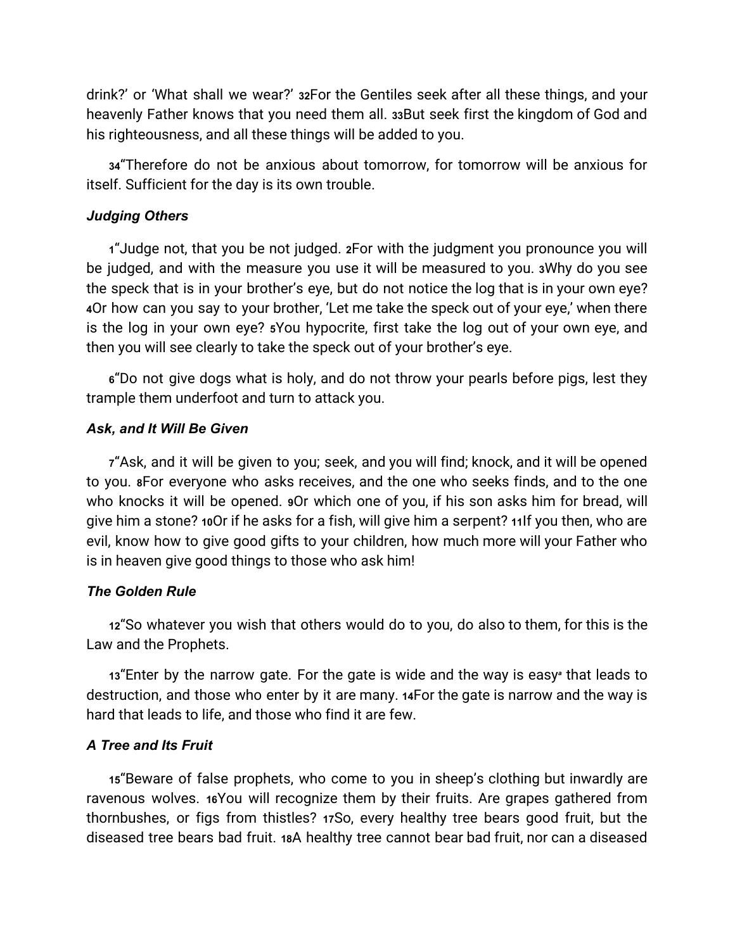drink?' or 'What shall we wear?' **[32](http://biblehub.com/matthew/6-32.htm)**For the Gentiles seek after all these things, and your heavenly Father knows that you need them all. **[33](http://biblehub.com/matthew/6-33.htm)**But seek first the kingdom of God and his righteousness, and all these things will be added to you.

**[34](http://biblehub.com/matthew/6-34.htm)**"Therefore do not be anxious about tomorrow, for tomorrow will be anxious for itself. Sufficient for the day is its own trouble.

## *Judging Others*

**[1](http://biblehub.com/matthew/7-1.htm)**"Judge not, that you be not judged. **[2](http://biblehub.com/matthew/7-2.htm)**For with the judgment you pronounce you will be judged, and with the measure you use it will be measured to you. **[3](http://biblehub.com/matthew/7-3.htm)**Why do you see the speck that is in your brother's eye, but do not notice the log that is in your own eye? **[4](http://biblehub.com/matthew/7-4.htm)**Or how can you say to your brother, 'Let me take the speck out of your eye,' when there is the log in your own eye? **[5](http://biblehub.com/matthew/7-5.htm)**You hypocrite, first take the log out of your own eye, and then you will see clearly to take the speck out of your brother's eye.

**[6](http://biblehub.com/matthew/7-6.htm)**"Do not give dogs what is holy, and do not throw your pearls before pigs, lest they trample them underfoot and turn to attack you.

## *Ask, and It Will Be Given*

**[7](http://biblehub.com/matthew/7-7.htm)**"Ask, and it will be given to you; seek, and you will find; knock, and it will be opened to you. **[8](http://biblehub.com/matthew/7-8.htm)**For everyone who asks receives, and the one who seeks finds, and to the one who knocks it will be opened. **[9](http://biblehub.com/matthew/7-9.htm)**Or which one of you, if his son asks him for bread, will give him a stone? **[10](http://biblehub.com/matthew/7-10.htm)**Or if he asks for a fish, will give him a serpent? **[11](http://biblehub.com/matthew/7-11.htm)**If you then, who are evil, know how to give good gifts to your children, how much more will your Father who is in heaven give good things to those who ask him!

#### *The Golden Rule*

**[12](http://biblehub.com/matthew/7-12.htm)**"So whatever you wish that others would do to you, do also to them, for this is the Law and the Prophets.

**[13](http://biblehub.com/matthew/7-13.htm)**"Enter by the narrow gate. For the gate is wide and the way is easy*[a](https://biblehub.com/esv/matthew/7.htm#footnotes)* that leads to destruction, and those who enter by it are many. **[14](http://biblehub.com/matthew/7-14.htm)**For the gate is narrow and the way is hard that leads to life, and those who find it are few.

# *A Tree and Its Fruit*

**[15](http://biblehub.com/matthew/7-15.htm)**"Beware of false prophets, who come to you in sheep's clothing but inwardly are ravenous wolves. **[16](http://biblehub.com/matthew/7-16.htm)**You will recognize them by their fruits. Are grapes gathered from thornbushes, or figs from thistles? **[17](http://biblehub.com/matthew/7-17.htm)**So, every healthy tree bears good fruit, but the diseased tree bears bad fruit. **[18](http://biblehub.com/matthew/7-18.htm)**A healthy tree cannot bear bad fruit, nor can a diseased